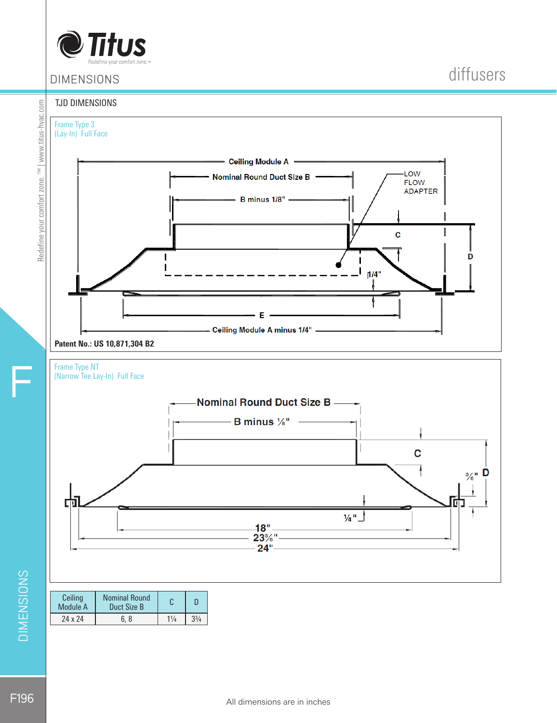

## DIMENSIONS

### TJD DIMENSIONS

Redefine your comfort zone. ™ | www.titus-hvac.com

Redefine your comfort zone. TM | www.titus-hvac.com



Patent No.: US 10,871,304 B2





| Ceiling<br>Module A | <b>Nominal Round</b><br>Duct Size B |                | D         |
|---------------------|-------------------------------------|----------------|-----------|
| 24 x 24             | 6. 8                                | $1\frac{1}{4}$ | $3^{3}/4$ |

DIMENSIONS

F

F196

diffusers